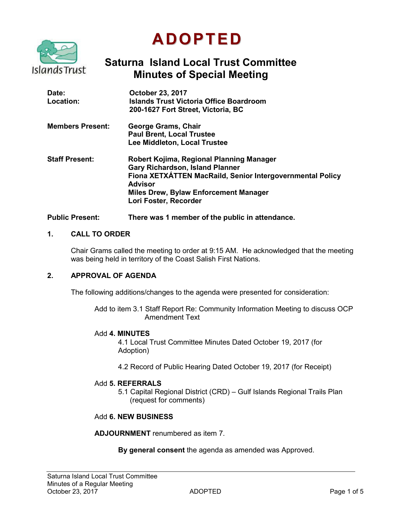

# **ADOPTED**

# **Saturna Island Local Trust Committee Minutes of Special Meeting**

| Date:<br>Location:      | <b>October 23, 2017</b><br><b>Islands Trust Victoria Office Boardroom</b><br>200-1627 Fort Street, Victoria, BC                                                                                                                     |
|-------------------------|-------------------------------------------------------------------------------------------------------------------------------------------------------------------------------------------------------------------------------------|
| <b>Members Present:</b> | George Grams, Chair<br><b>Paul Brent, Local Trustee</b><br>Lee Middleton, Local Trustee                                                                                                                                             |
| <b>Staff Present:</b>   | Robert Kojima, Regional Planning Manager<br><b>Gary Richardson, Island Planner</b><br>Fiona XETXATTEN MacRaild, Senior Intergovernmental Policy<br><b>Advisor</b><br>Miles Drew, Bylaw Enforcement Manager<br>Lori Foster, Recorder |

#### **Public Present: There was 1 member of the public in attendance.**

#### **1. CALL TO ORDER**

Chair Grams called the meeting to order at 9:15 AM. He acknowledged that the meeting was being held in territory of the Coast Salish First Nations.

#### **2. APPROVAL OF AGENDA**

The following additions/changes to the agenda were presented for consideration:

Add to item 3.1 Staff Report Re: Community Information Meeting to discuss OCP Amendment Text

#### Add **4. MINUTES**

4.1 Local Trust Committee Minutes Dated October 19, 2017 (for Adoption)

4.2 Record of Public Hearing Dated October 19, 2017 (for Receipt)

#### Add **5. REFERRALS**

5.1 Capital Regional District (CRD) – Gulf Islands Regional Trails Plan (request for comments)

#### Add **6. NEW BUSINESS**

**ADJOURNMENT** renumbered as item 7.

**By general consent** the agenda as amended was Approved.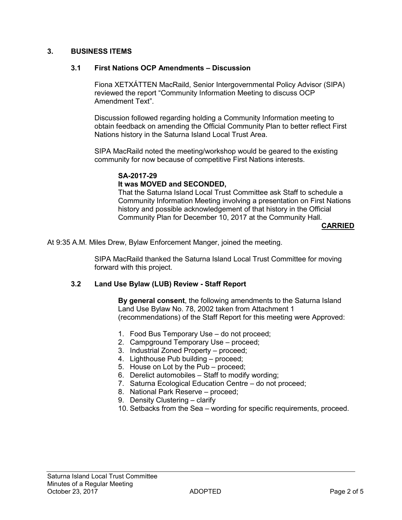#### **3. BUSINESS ITEMS**

#### **3.1 First Nations OCP Amendments – Discussion**

Fiona XETXÁTTEN MacRaild, Senior Intergovernmental Policy Advisor (SIPA) reviewed the report "Community Information Meeting to discuss OCP Amendment Text".

Discussion followed regarding holding a Community Information meeting to obtain feedback on amending the Official Community Plan to better reflect First Nations history in the Saturna Island Local Trust Area.

SIPA MacRaild noted the meeting/workshop would be geared to the existing community for now because of competitive First Nations interests.

#### **SA-2017-29**

#### **It was MOVED and SECONDED,**

That the Saturna Island Local Trust Committee ask Staff to schedule a Community Information Meeting involving a presentation on First Nations history and possible acknowledgement of that history in the Official Community Plan for December 10, 2017 at the Community Hall.

#### **CARRIED**

At 9:35 A.M. Miles Drew, Bylaw Enforcement Manger, joined the meeting.

SIPA MacRaild thanked the Saturna Island Local Trust Committee for moving forward with this project.

#### **3.2 Land Use Bylaw (LUB) Review - Staff Report**

**By general consent**, the following amendments to the Saturna Island Land Use Bylaw No. 78, 2002 taken from Attachment 1 (recommendations) of the Staff Report for this meeting were Approved:

- 1. Food Bus Temporary Use do not proceed;
- 2. Campground Temporary Use proceed;
- 3. Industrial Zoned Property proceed;
- 4. Lighthouse Pub building proceed;
- 5. House on Lot by the Pub proceed;
- 6. Derelict automobiles Staff to modify wording;
- 7. Saturna Ecological Education Centre do not proceed;
- 8. National Park Reserve proceed;
- 9. Density Clustering clarify
- 10. Setbacks from the Sea wording for specific requirements, proceed.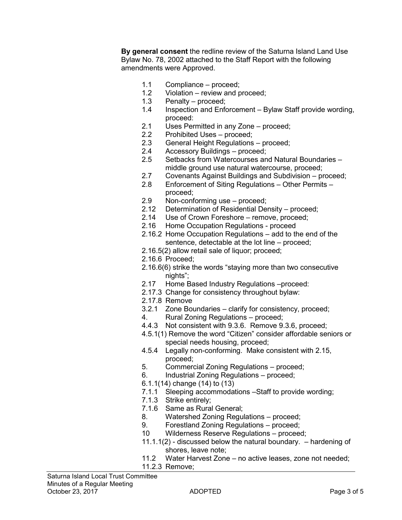**By general consent** the redline review of the Saturna Island Land Use Bylaw No. 78, 2002 attached to the Staff Report with the following amendments were Approved.

- 1.1 Compliance proceed;
- 1.2 Violation review and proceed;
- 1.3 Penalty proceed;
- 1.4 Inspection and Enforcement Bylaw Staff provide wording, proceed:
- 2.1 Uses Permitted in any Zone proceed;
- 2.2 Prohibited Uses proceed;
- 2.3 General Height Regulations proceed;
- 2.4 Accessory Buildings proceed;<br>2.5 Setbacks from Watercourses an
- Setbacks from Watercourses and Natural Boundaries middle ground use natural watercourse, proceed;
- 2.7 Covenants Against Buildings and Subdivision proceed;
- 2.8 Enforcement of Siting Regulations Other Permits proceed;
- 2.9 Non-conforming use proceed;
- 2.12 Determination of Residential Density proceed;
- 2.14 Use of Crown Foreshore remove, proceed;
- 2.16 Home Occupation Regulations proceed
- 2.16.2 Home Occupation Regulations add to the end of the sentence, detectable at the lot line – proceed;
- 2.16.5(2) allow retail sale of liquor; proceed;
- 2.16.6 Proceed;
- 2.16.6(6) strike the words "staying more than two consecutive nights";
- 2.17 Home Based Industry Regulations –proceed:
- 2.17.3 Change for consistency throughout bylaw:
- 2.17.8 Remove
- 3.2.1 Zone Boundaries clarify for consistency, proceed;
- 4. Rural Zoning Regulations proceed;
- 4.4.3 Not consistent with 9.3.6. Remove 9.3.6, proceed;
- 4.5.1(1) Remove the word "Citizen" consider affordable seniors or special needs housing, proceed;
- 4.5.4 Legally non-conforming. Make consistent with 2.15, proceed;
- 5. Commercial Zoning Regulations proceed;
- 6. Industrial Zoning Regulations proceed;
- 6.1.1(14) change (14) to (13)
- 7.1.1 Sleeping accommodations –Staff to provide wording;
- 7.1.3 Strike entirely;
- 7.1.6 Same as Rural General;
- 8. Watershed Zoning Regulations proceed;
- 9. Forestland Zoning Regulations proceed;
- 10 Wilderness Reserve Regulations proceed;
- $11.1.1(2)$  discussed below the natural boundary.  $-$  hardening of shores, leave note;
- 11.2 Water Harvest Zone no active leases, zone not needed;
- 11.2.3 Remove;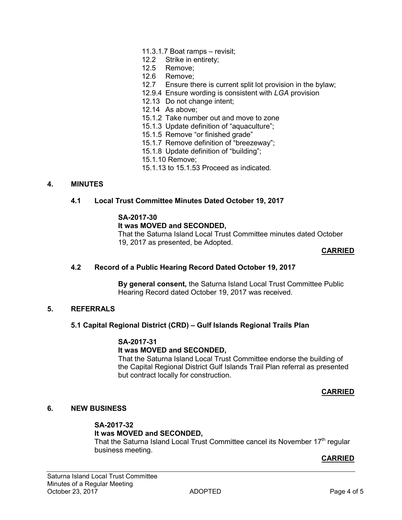- 11.3.1.7 Boat ramps revisit;
- 12.2 Strike in entirety;
- 12.5 Remove;
- 12.6 Remove;
- 12.7 Ensure there is current split lot provision in the bylaw;
- 12.9.4 Ensure wording is consistent with *LGA* provision
- 12.13 Do not change intent;
- 12.14 As above;
- 15.1.2 Take number out and move to zone
- 15.1.3 Update definition of "aquaculture";
- 15.1.5 Remove "or finished grade"
- 15.1.7 Remove definition of "breezeway";
- 15.1.8 Update definition of "building";
- 15.1.10 Remove;
- 15.1.13 to 15.1.53 Proceed as indicated.

#### **4. MINUTES**

#### **4.1 Local Trust Committee Minutes Dated October 19, 2017**

#### **SA-2017-30**

#### **It was MOVED and SECONDED,**

That the Saturna Island Local Trust Committee minutes dated October 19, 2017 as presented, be Adopted.

#### **CARRIED**

#### **4.2 Record of a Public Hearing Record Dated October 19, 2017**

**By general consent,** the Saturna Island Local Trust Committee Public Hearing Record dated October 19, 2017 was received.

#### **5. REFERRALS**

#### **5.1 Capital Regional District (CRD) – Gulf Islands Regional Trails Plan**

### **SA-2017-31**

#### **It was MOVED and SECONDED,**

That the Saturna Island Local Trust Committee endorse the building of the Capital Regional District Gulf Islands Trail Plan referral as presented but contract locally for construction.

#### **CARRIED**

#### **6. NEW BUSINESS**

# **SA-2017-32**

## **It was MOVED and SECONDED,**

That the Saturna Island Local Trust Committee cancel its November 17<sup>th</sup> regular business meeting.

#### **CARRIED**